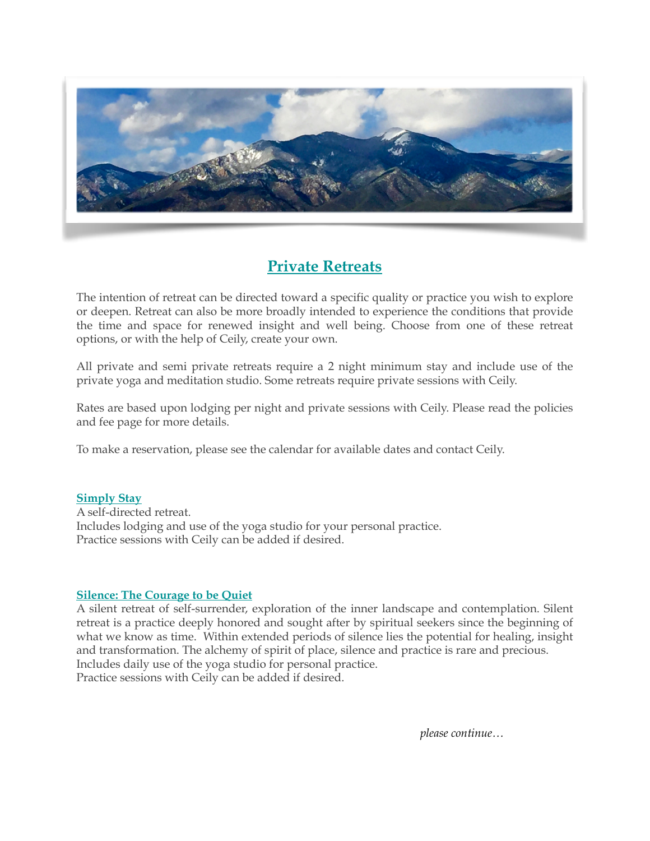

# **Private Retreats**

The intention of retreat can be directed toward a specific quality or practice you wish to explore or deepen. Retreat can also be more broadly intended to experience the conditions that provide the time and space for renewed insight and well being. Choose from one of these retreat options, or with the help of Ceily, create your own.

All private and semi private retreats require a 2 night minimum stay and include use of the private yoga and meditation studio. Some retreats require private sessions with Ceily.

Rates are based upon lodging per night and private sessions with Ceily. Please read the policies and fee page for more details.

To make a reservation, please see the calendar for available dates and contact Ceily.

## **Simply Stay**

A self-directed retreat. Includes lodging and use of the yoga studio for your personal practice. Practice sessions with Ceily can be added if desired.

# **Silence: The Courage to be Quiet**

A silent retreat of self-surrender, exploration of the inner landscape and contemplation. Silent retreat is a practice deeply honored and sought after by spiritual seekers since the beginning of what we know as time. Within extended periods of silence lies the potential for healing, insight and transformation. The alchemy of spirit of place, silence and practice is rare and precious. Includes daily use of the yoga studio for personal practice. Practice sessions with Ceily can be added if desired.

*please continue…*